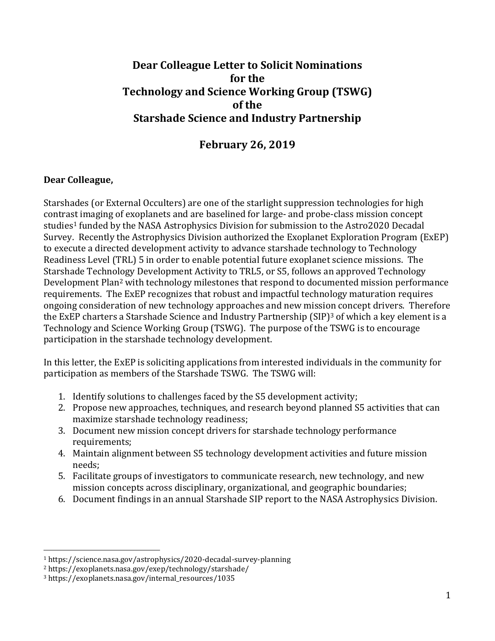## **Dear Colleague Letter to Solicit Nominations for the Technology and Science Working Group (TSWG) of the Starshade Science and Industry Partnership**

## **February 26, 2019**

## **Dear Colleague,**

Starshades (or External Occulters) are one of the starlight suppression technologies for high contrast imaging of exoplanets and are baselined for large- and probe-class mission concept studies<sup>1</sup> funded by the NASA Astrophysics Division for submission to the Astro2020 Decadal Survey. Recently the Astrophysics Division authorized the Exoplanet Exploration Program (ExEP) to execute a directed development activity to advance starshade technology to Technology Readiness Level (TRL) 5 in order to enable potential future exoplanet science missions. The Starshade Technology Development Activity to TRL5, or S5, follows an approved Technology Development Plan<sup>2</sup> with technology milestones that respond to documented mission performance requirements. The ExEP recognizes that robust and impactful technology maturation requires ongoing consideration of new technology approaches and new mission concept drivers. Therefore the ExEP charters a Starshade Science and Industry Partnership (SIP)<sup>3</sup> of which a key element is a Technology and Science Working Group (TSWG). The purpose of the TSWG is to encourage participation in the starshade technology development.

In this letter, the ExEP is soliciting applications from interested individuals in the community for participation as members of the Starshade TSWG. The TSWG will:

- 1. Identify solutions to challenges faced by the S5 development activity;
- 2. Propose new approaches, techniques, and research beyond planned S5 activities that can maximize starshade technology readiness;
- 3. Document new mission concept drivers for starshade technology performance requirements:
- 4. Maintain alignment between S5 technology development activities and future mission needs;
- 5. Facilitate groups of investigators to communicate research, new technology, and new mission concepts across disciplinary, organizational, and geographic boundaries;
- 6. Document findings in an annual Starshade SIP report to the NASA Astrophysics Division.

 $\overline{\phantom{a}}$ 

<sup>1</sup> https://science.nasa.gov/astrophysics/2020-decadal-survey-planning

<sup>2</sup> https://exoplanets.nasa.gov/exep/technology/starshade/

<sup>3</sup> https://exoplanets.nasa.gov/internal\_resources/1035